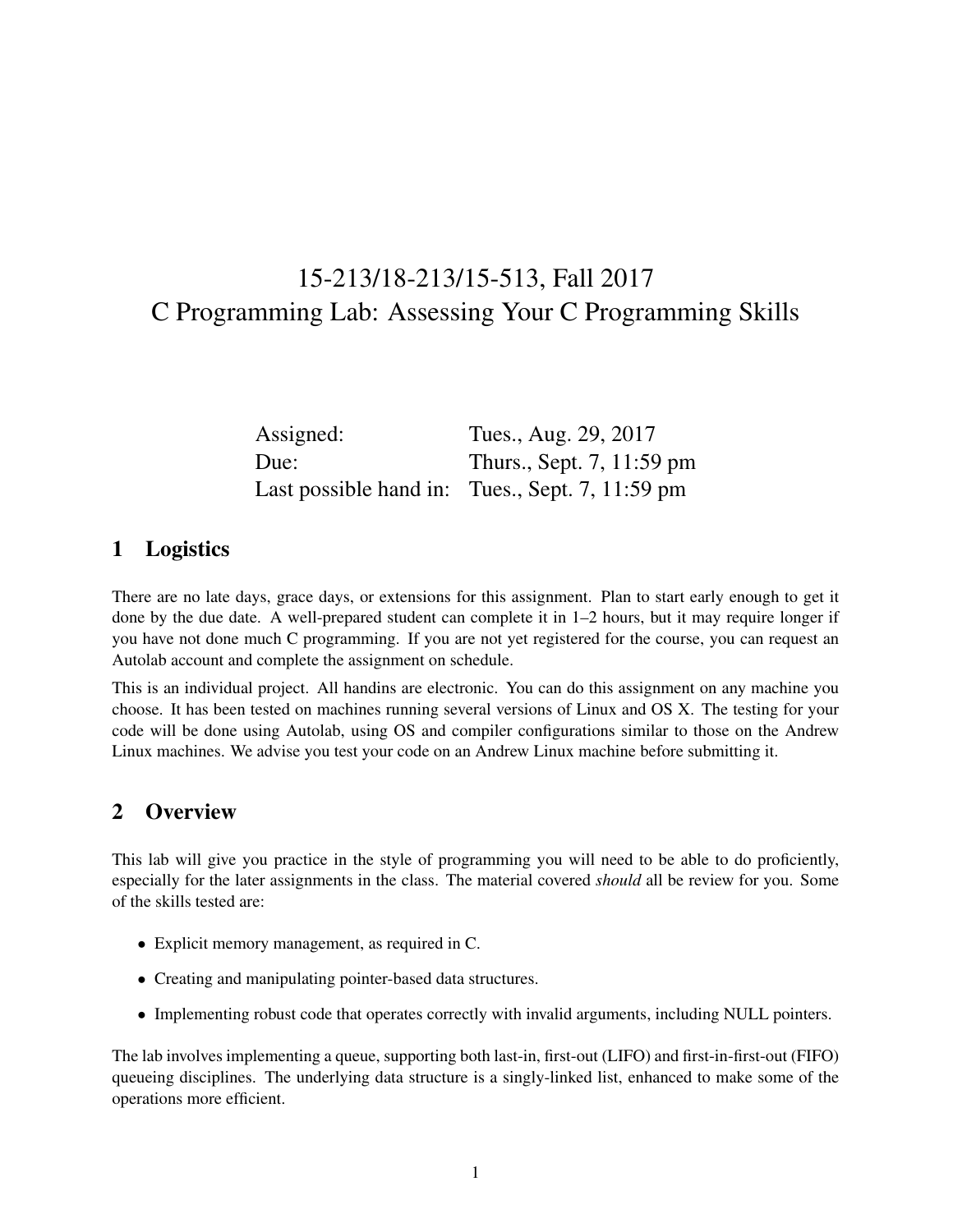# 15-213/18-213/15-513, Fall 2017 C Programming Lab: Assessing Your C Programming Skills

| Assigned: | Tues., Aug. 29, 2017                            |
|-----------|-------------------------------------------------|
| Due:      | Thurs., Sept. 7, 11:59 pm                       |
|           | Last possible hand in: Tues., Sept. 7, 11:59 pm |

## 1 Logistics

There are no late days, grace days, or extensions for this assignment. Plan to start early enough to get it done by the due date. A well-prepared student can complete it in 1–2 hours, but it may require longer if you have not done much C programming. If you are not yet registered for the course, you can request an Autolab account and complete the assignment on schedule.

This is an individual project. All handins are electronic. You can do this assignment on any machine you choose. It has been tested on machines running several versions of Linux and OS X. The testing for your code will be done using Autolab, using OS and compiler configurations similar to those on the Andrew Linux machines. We advise you test your code on an Andrew Linux machine before submitting it.

## 2 Overview

This lab will give you practice in the style of programming you will need to be able to do proficiently, especially for the later assignments in the class. The material covered *should* all be review for you. Some of the skills tested are:

- Explicit memory management, as required in C.
- Creating and manipulating pointer-based data structures.
- Implementing robust code that operates correctly with invalid arguments, including NULL pointers.

The lab involves implementing a queue, supporting both last-in, first-out (LIFO) and first-in-first-out (FIFO) queueing disciplines. The underlying data structure is a singly-linked list, enhanced to make some of the operations more efficient.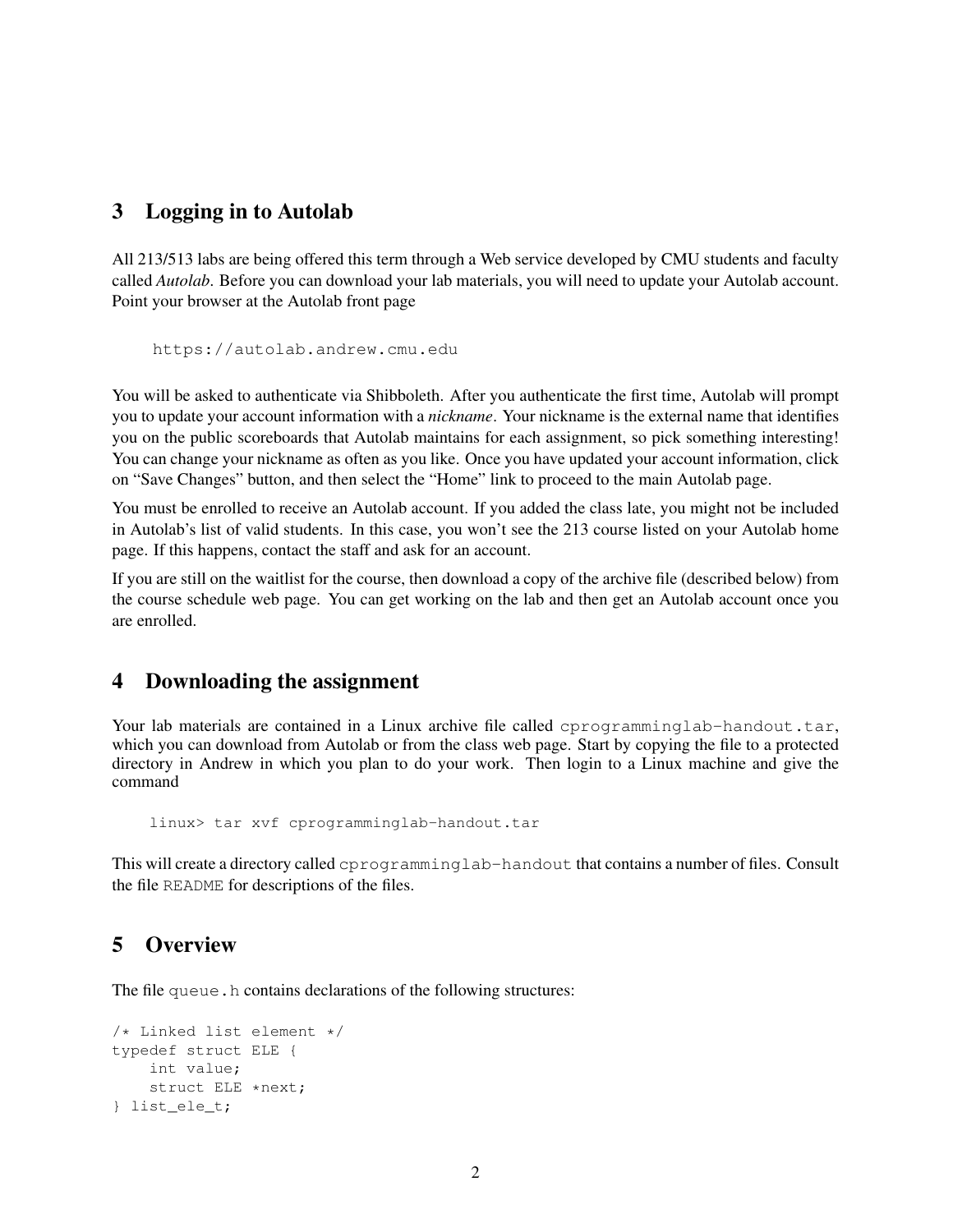# 3 Logging in to Autolab

All 213/513 labs are being offered this term through a Web service developed by CMU students and faculty called *Autolab*. Before you can download your lab materials, you will need to update your Autolab account. Point your browser at the Autolab front page

```
https://autolab.andrew.cmu.edu
```
You will be asked to authenticate via Shibboleth. After you authenticate the first time, Autolab will prompt you to update your account information with a *nickname*. Your nickname is the external name that identifies you on the public scoreboards that Autolab maintains for each assignment, so pick something interesting! You can change your nickname as often as you like. Once you have updated your account information, click on "Save Changes" button, and then select the "Home" link to proceed to the main Autolab page.

You must be enrolled to receive an Autolab account. If you added the class late, you might not be included in Autolab's list of valid students. In this case, you won't see the 213 course listed on your Autolab home page. If this happens, contact the staff and ask for an account.

If you are still on the waitlist for the course, then download a copy of the archive file (described below) from the course schedule web page. You can get working on the lab and then get an Autolab account once you are enrolled.

## 4 Downloading the assignment

Your lab materials are contained in a Linux archive file called eprogramminglab-handout.tar, which you can download from Autolab or from the class web page. Start by copying the file to a protected directory in Andrew in which you plan to do your work. Then login to a Linux machine and give the command

```
linux> tar xvf cprogramminglab-handout.tar
```
This will create a directory called cprogramminglab-handout that contains a number of files. Consult the file README for descriptions of the files.

#### 5 Overview

The file queue.h contains declarations of the following structures:

```
/* Linked list element */
typedef struct ELE {
    int value;
    struct ELE *next;
} list_ele_t;
```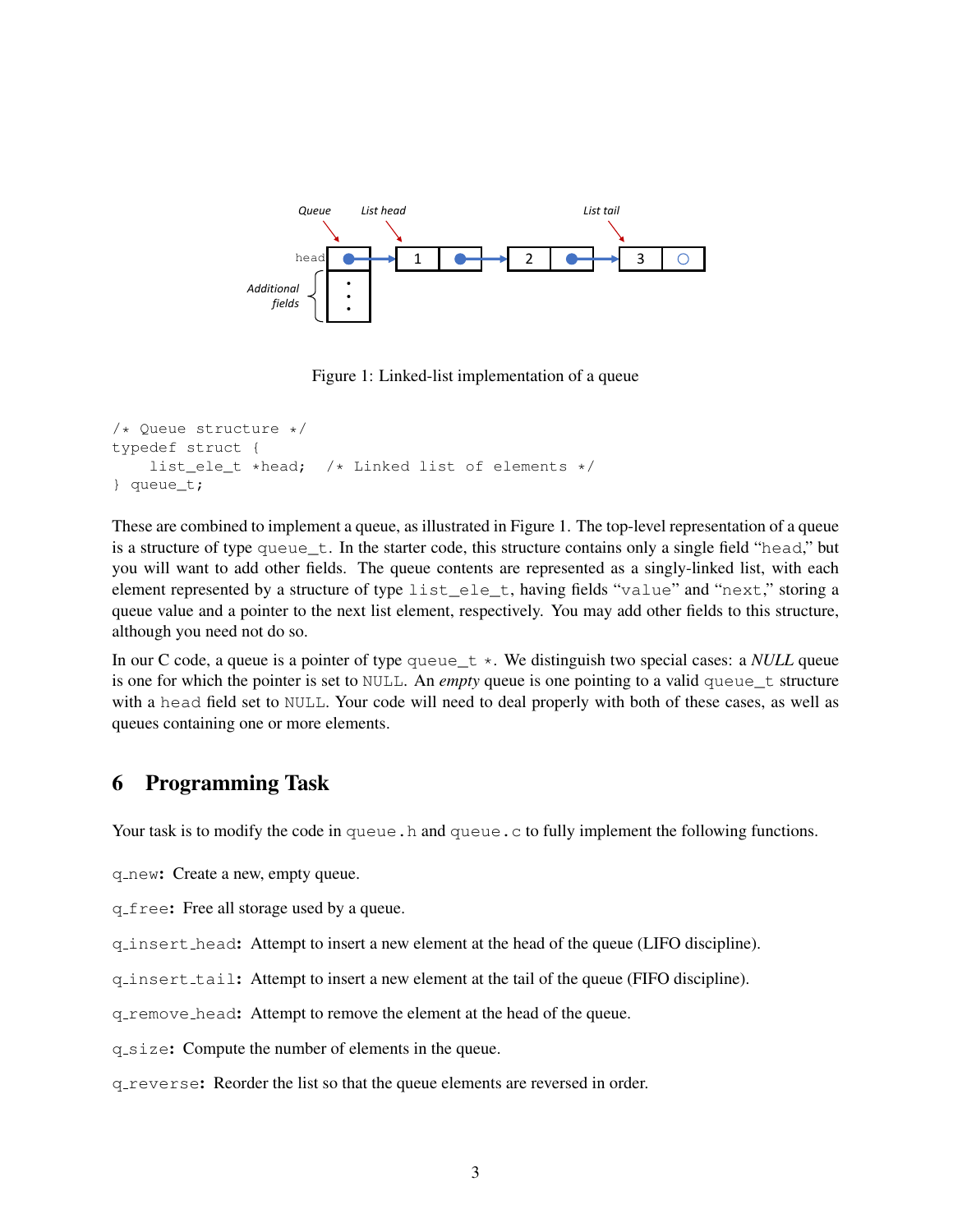

Figure 1: Linked-list implementation of a queue

```
/* Queue structure */
typedef struct {
    list_ele_t *head; /* Linked list of elements */
} queue_t;
```
These are combined to implement a queue, as illustrated in Figure 1. The top-level representation of a queue is a structure of type queue\_t. In the starter code, this structure contains only a single field "head," but you will want to add other fields. The queue contents are represented as a singly-linked list, with each element represented by a structure of type list\_ele\_t, having fields "value" and "next," storing a queue value and a pointer to the next list element, respectively. You may add other fields to this structure, although you need not do so.

In our C code, a queue is a pointer of type queue  $t *$ . We distinguish two special cases: a *NULL* queue is one for which the pointer is set to NULL. An *empty* queue is one pointing to a valid queue\_t structure with a head field set to NULL. Your code will need to deal properly with both of these cases, as well as queues containing one or more elements.

#### 6 Programming Task

Your task is to modify the code in queue.h and queue.c to fully implement the following functions.

q new: Create a new, empty queue.

q free: Free all storage used by a queue.

q insert head: Attempt to insert a new element at the head of the queue (LIFO discipline).

q insert tail: Attempt to insert a new element at the tail of the queue (FIFO discipline).

q remove head: Attempt to remove the element at the head of the queue.

q size: Compute the number of elements in the queue.

q reverse: Reorder the list so that the queue elements are reversed in order.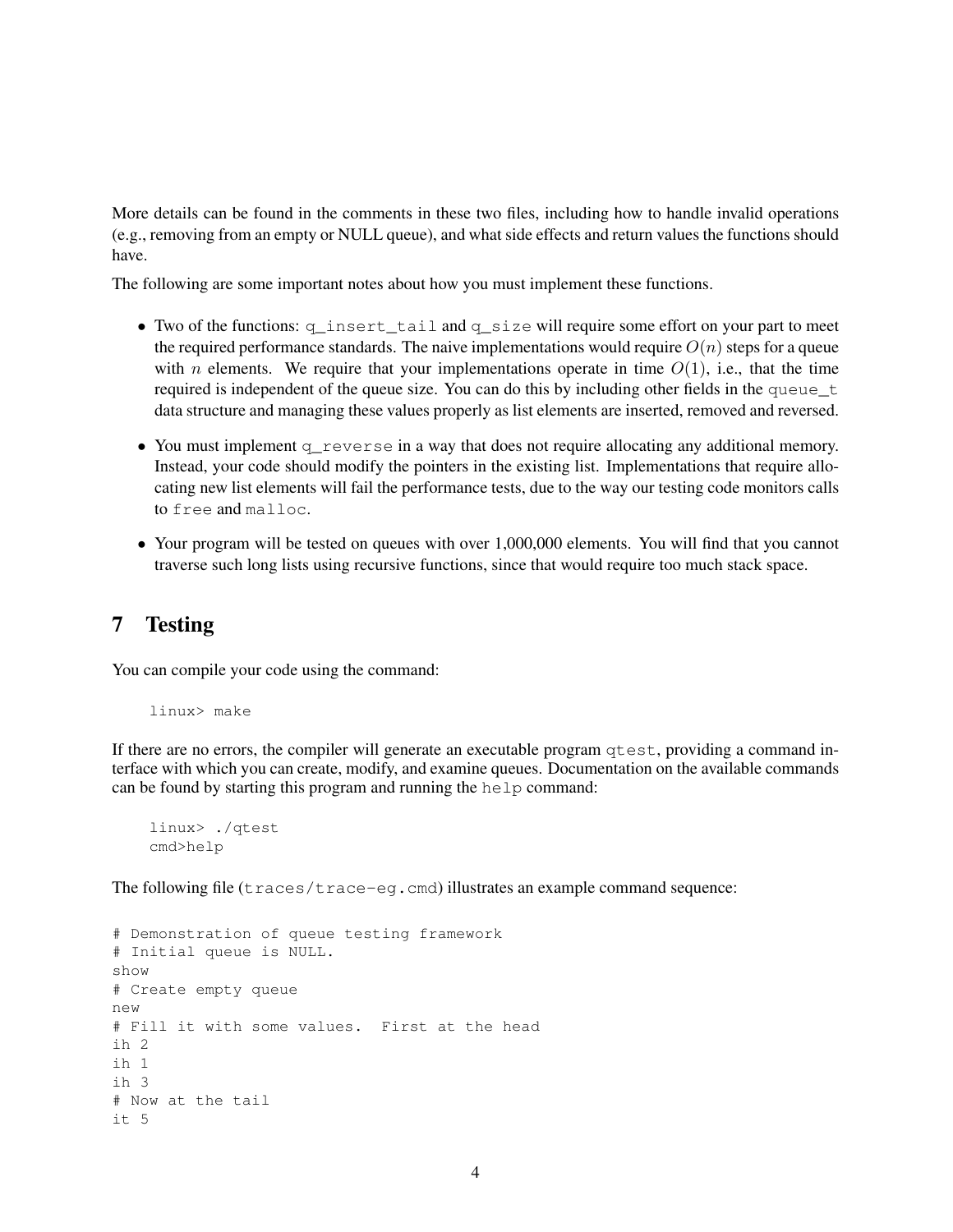More details can be found in the comments in these two files, including how to handle invalid operations (e.g., removing from an empty or NULL queue), and what side effects and return values the functions should have.

The following are some important notes about how you must implement these functions.

- Two of the functions: q\_insert\_tail and q\_size will require some effort on your part to meet the required performance standards. The naive implementations would require  $O(n)$  steps for a queue with *n* elements. We require that your implementations operate in time  $O(1)$ , i.e., that the time required is independent of the queue size. You can do this by including other fields in the queue\_t data structure and managing these values properly as list elements are inserted, removed and reversed.
- You must implement q\_reverse in a way that does not require allocating any additional memory. Instead, your code should modify the pointers in the existing list. Implementations that require allocating new list elements will fail the performance tests, due to the way our testing code monitors calls to free and malloc.
- Your program will be tested on queues with over 1,000,000 elements. You will find that you cannot traverse such long lists using recursive functions, since that would require too much stack space.

#### 7 Testing

You can compile your code using the command:

linux> make

If there are no errors, the compiler will generate an executable program qtest, providing a command interface with which you can create, modify, and examine queues. Documentation on the available commands can be found by starting this program and running the help command:

```
linux> ./qtest
cmd>help
```
The following file (traces/trace-eg.cmd) illustrates an example command sequence:

```
# Demonstration of queue testing framework
# Initial queue is NULL.
show
# Create empty queue
new
# Fill it with some values. First at the head
ih 2
ih 1
ih 3
# Now at the tail
i + 5
```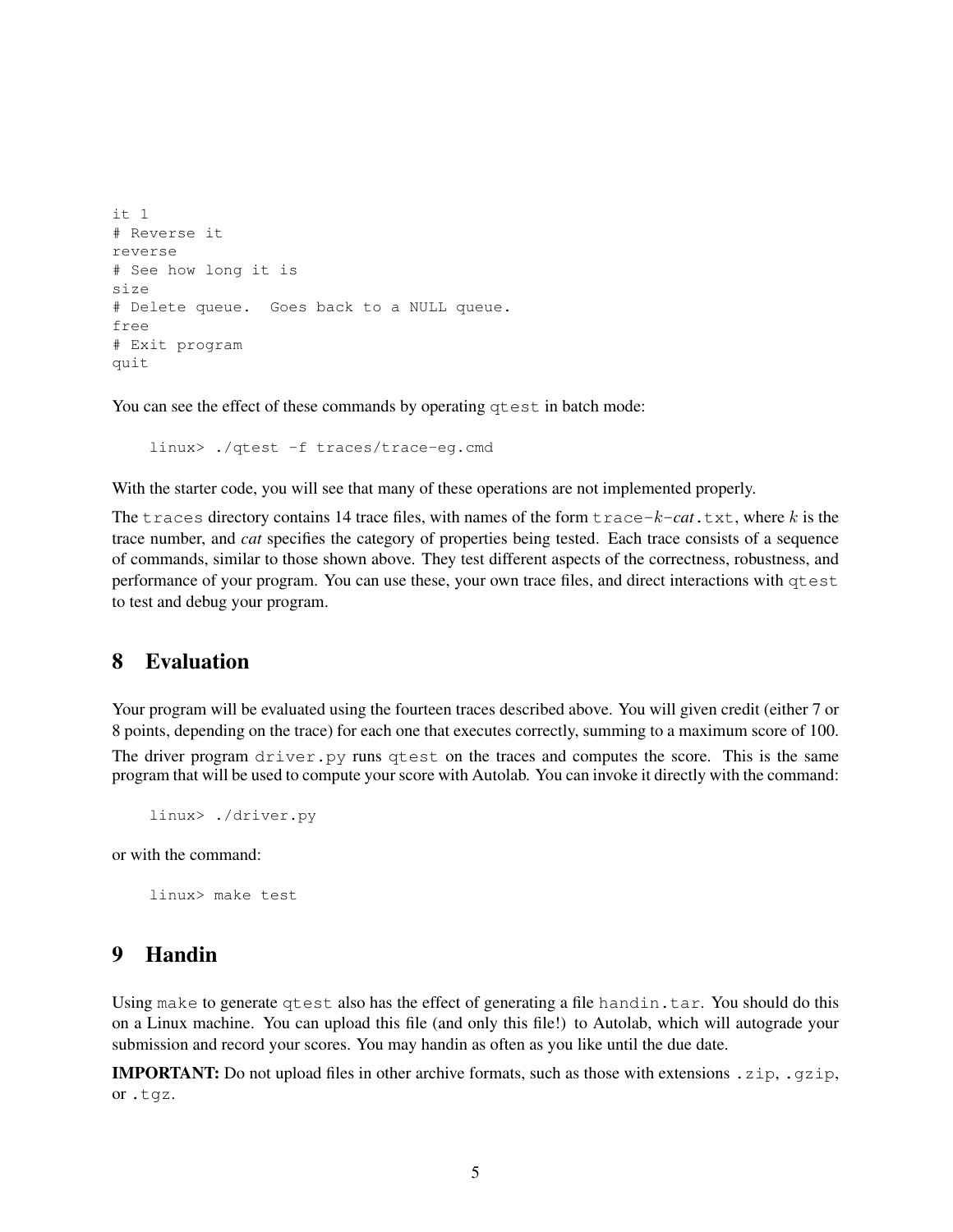```
it 1
# Reverse it
reverse
# See how long it is
size
# Delete queue. Goes back to a NULL queue.
free
# Exit program
quit
```
You can see the effect of these commands by operating  $q$ test in batch mode:

linux> ./qtest -f traces/trace-eg.cmd

With the starter code, you will see that many of these operations are not implemented properly.

The traces directory contains 14 trace files, with names of the form  $trace-k-cat$ .txt, where k is the trace number, and *cat* specifies the category of properties being tested. Each trace consists of a sequence of commands, similar to those shown above. They test different aspects of the correctness, robustness, and performance of your program. You can use these, your own trace files, and direct interactions with qtest to test and debug your program.

#### 8 Evaluation

Your program will be evaluated using the fourteen traces described above. You will given credit (either 7 or 8 points, depending on the trace) for each one that executes correctly, summing to a maximum score of 100.

The driver program driver.py runs qtest on the traces and computes the score. This is the same program that will be used to compute your score with Autolab. You can invoke it directly with the command:

linux> ./driver.py

or with the command:

linux> make test

#### 9 Handin

Using make to generate qtest also has the effect of generating a file handin.tar. You should do this on a Linux machine. You can upload this file (and only this file!) to Autolab, which will autograde your submission and record your scores. You may handin as often as you like until the due date.

**IMPORTANT:** Do not upload files in other archive formats, such as those with extensions  $\cdot$ zip,  $\cdot$ gzip, or .tgz.